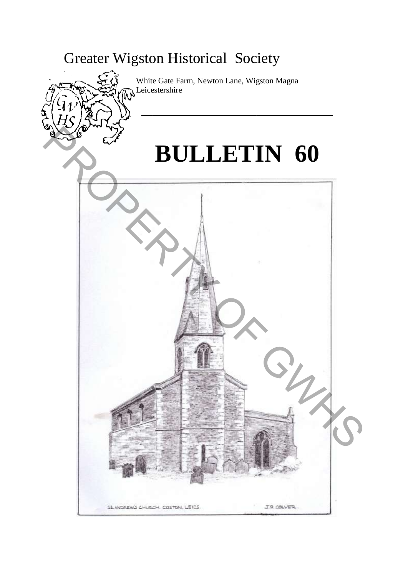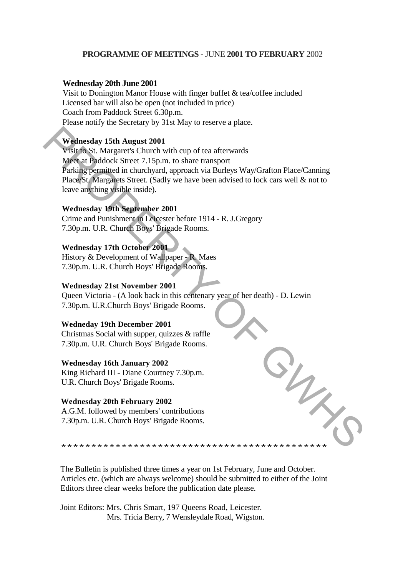## **PROGRAMME OF MEETINGS -** JUNE **2001 TO FEBRUARY** 2002

#### **Wednesday 20th June 2001**

Visit to Donington Manor House with finger buffet & tea/coffee included Licensed bar will also be open (not included in price) Coach from Paddock Street 6.30p.m. Please notify the Secretary by 31st May to reserve a place.

#### **Wednesday 15th August 2001**

Visit to St. Margaret's Church with cup of tea afterwards Meet at Paddock Street 7.15p.m. to share transport Parking permitted in churchyard, approach via Burleys Way/Grafton Place/Canning Place/St. Margarets Street. (Sadly we have been advised to lock cars well & not to leave anything visible inside). Weitnesday 1Sth August 2001<br>
Visit to St. Margaret's Church with eap of tea afterwards<br>
Meet at Findotes Street 7.15pm. to share transport<br>
Parking permitted in enharchyard, approach via Burleys Way/Grafton Place/Caming<br>
P

## **Wednesday 19th September 2001**

Crime and Punishment in Leicester before 1914 - R. J.Gregory 7.30p.m. U.R. Church Boys' Brigade Rooms.

## **Wednesday 17th October 2001**

History & Development of Wallpaper - R. Maes 7.30p.m. U.R. Church Boys' Brigade Rooms.

#### **Wednesday 21st November 2001**

Queen Victoria - (A look back in this centenary year of her death) - D. Lewin 7.30p.m. U.R.Church Boys' Brigade Rooms.

#### **Wedneday 19th December 2001**

Christmas Social with supper, quizzes & raffle 7.30p.m. U.R. Church Boys' Brigade Rooms.

## **Wednesday 16th January 2002**

King Richard III - Diane Courtney 7.30p.m. U.R. Church Boys' Brigade Rooms.

#### **Wednesday 20th February 2002**

A.G.M. followed by members' contributions 7.30p.m. U.R. Church Boys' Brigade Rooms.

 $\frac{3}{2}$ 

The Bulletin is published three times a year on 1st February, June and October. Articles etc. (which are always welcome) should be submitted to either of the Joint Editors three clear weeks before the publication date please.

Joint Editors: Mrs. Chris Smart, 197 Queens Road, Leicester. Mrs. Tricia Berry, 7 Wensleydale Road, Wigston.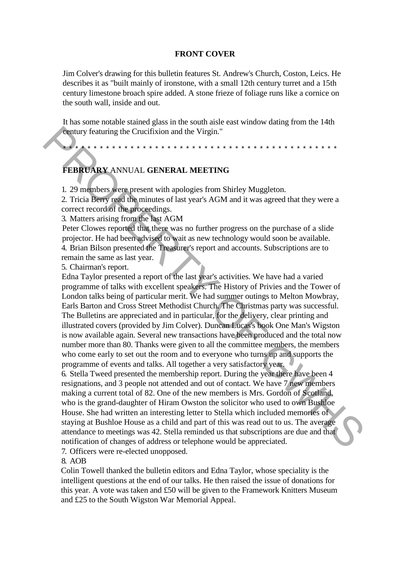### **FRONT COVER**

Jim Colver's drawing for this bulletin features St. Andrew's Church, Coston, Leics. He describes it as "built mainly of ironstone, with a small 12th century turret and a 15th century limestone broach spire added. A stone frieze of foliage runs like a cornice on the south wall, inside and out.

It has some notable stained glass in the south aisle east window dating from the 14th century featuring the Crucifixion and the Virgin."

\*\*\*\*\*\*\*\*\*\*\*\*\*\*\*\*\*\*\*\*\*\*\*\*\*\*\*\*\*\*\*\*\*\*\*\*\*\*\*\*\*\*\*\*\*

## **FEBRUARY** ANNUAL **GENERAL MEETING**

1. 29 members were present with apologies from Shirley Muggleton.

2. Tricia Berry read the minutes of last year's AGM and it was agreed that they were a correct record of the proceedings.

3. Matters arising from the last AGM

Peter Clowes reported that there was no further progress on the purchase of a slide projector. He had been advised to wait as new technology would soon be available. 4. Brian Bilson presented the Treasurer's report and accounts. Subscriptions are to remain the same as last year.

5. Chairman's report.

Edna Taylor presented a report of the last year's activities. We have had a varied programme of talks with excellent speakers. The History of Privies and the Tower of London talks being of particular merit. We had summer outings to Melton Mowbray, Earls Barton and Cross Street Methodist Church. The Christmas party was successful. The Bulletins are appreciated and in particular, for the delivery, clear printing and illustrated covers (provided by Jim Colver). Duncan Lucas's book One Man's Wigston is now available again. Several new transactions have been produced and the total now number more than 80. Thanks were given to all the committee members, the members who come early to set out the room and to everyone who turns up and supports the programme of events and talks. All together a very satisfactory year. **EXERCUARY ANNUAL GENERAL MEETING**<br> **EXERCUARY ANNUAL GENERAL MEETING**<br>
1. 29 members were present with apologies from Shirley Muggleton.<br>
2. Tricia Derry read the moments of last year's AGM and it was agreed that they wer

6. Stella Tweed presented the membership report. During the year there have been 4 resignations, and 3 people not attended and out of contact. We have 7 new members making a current total of 82. One of the new members is Mrs. Gordon of Scotland, who is the grand-daughter of Hiram Owston the solicitor who used to own Bushloe House. She had written an interesting letter to Stella which included memories of staying at Bushloe House as a child and part of this was read out to us. The average attendance to meetings was 42. Stella reminded us that subscriptions are due and that notification of changes of address or telephone would be appreciated.

7. Officers were re-elected unopposed.

8. AOB

Colin Towell thanked the bulletin editors and Edna Taylor, whose speciality is the intelligent questions at the end of our talks. He then raised the issue of donations for this year. A vote was taken and £50 will be given to the Framework Knitters Museum and £25 to the South Wigston War Memorial Appeal.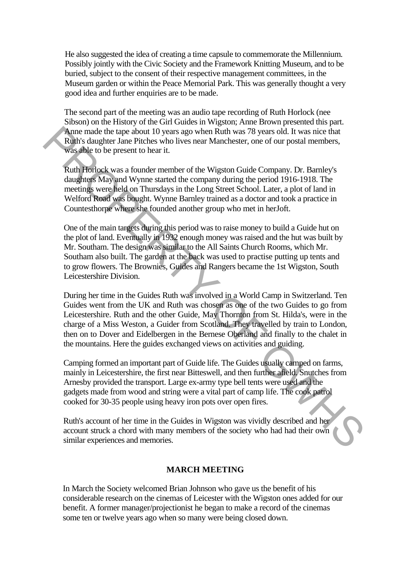He also suggested the idea of creating a time capsule to commemorate the Millennium. Possibly jointly with the Civic Society and the Framework Knitting Museum, and to be buried, subject to the consent of their respective management committees, in the Museum garden or within the Peace Memorial Park. This was generally thought a very good idea and further enquiries are to be made.

The second part of the meeting was an audio tape recording of Ruth Horlock (nee Sibson) on the History of the Girl Guides in Wigston; Anne Brown presented this part. Anne made the tape about 10 years ago when Ruth was 78 years old. It was nice that Ruth's daughter Jane Pitches who lives near Manchester, one of our postal members, was able to be present to hear it.

Ruth Horlock was a founder member of the Wigston Guide Company. Dr. Barnley's daughters May and Wynne started the company during the period 1916-1918. The meetings were held on Thursdays in the Long Street School. Later, a plot of land in Welford Road was bought. Wynne Barnley trained as a doctor and took a practice in Countesthorpe where she founded another group who met in herJoft.

One of the main targets during this period was to raise money to build a Guide hut on the plot of land. Eventually in 1932 enough money was raised and the hut was built by Mr. Southam. The design was similar to the All Saints Church Rooms, which Mr. Southam also built. The garden at the back was used to practise putting up tents and to grow flowers. The Brownies, Guides and Rangers became the 1st Wigston, South Leicestershire Division. Anne made the tape about 10 years and North was 78 years old. It was nice that<br>
Ruth's daughter Jane Pitches who lives near Manchester, one of our postal members,<br>
Was able to be present to hear it.<br>
Ruth Horicost was a f

During her time in the Guides Ruth was involved in a World Camp in Switzerland. Ten Guides went from the UK and Ruth was chosen as one of the two Guides to go from Leicestershire. Ruth and the other Guide, May Thornton from St. Hilda's, were in the charge of a Miss Weston, a Guider from Scotland. They travelled by train to London, then on to Dover and Eidelbergen in the Bernese Oberland and finally to the chalet in the mountains. Here the guides exchanged views on activities and guiding.

Camping formed an important part of Guide life. The Guides usually camped on farms, mainly in Leicestershire, the first near Bitteswell, and then further afield. Snutches from Arnesby provided the transport. Large ex-army type bell tents were used and the gadgets made from wood and string were a vital part of camp life. The cook patrol cooked for 30-35 people using heavy iron pots over open fires.

Ruth's account of her time in the Guides in Wigston was vividly described and her account struck a chord with many members of the society who had had their own similar experiences and memories.

## **MARCH MEETING**

In March the Society welcomed Brian Johnson who gave us the benefit of his considerable research on the cinemas of Leicester with the Wigston ones added for our benefit. A former manager/projectionist he began to make a record of the cinemas some ten or twelve years ago when so many were being closed down.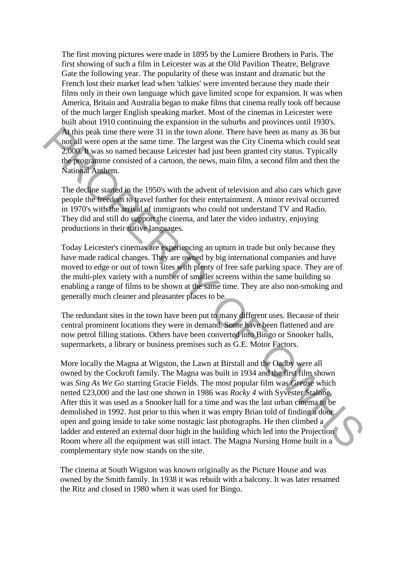The first moving pictures were made in 1895 by the Lumiere Brothers in Paris. The first showing of such a film in Leicester was at the Old Pavilion Theatre, Belgrave Gate the following year. The popularity of these was instant and dramatic but the French lost their market lead when 'talkies' were invented because they made their films only in their own language which gave limited scope for expansion. It was when America, Britain and Australia began to make films that cinema really took off because of the much larger English speaking market. Most of the cinemas in Leicester were built about 1910 continuing the expansion in the suburbs and provinces until 1930's. At this peak time there were 31 in the town alone. There have been as many as 36 but not all were open at the same time. The largest was the City Cinema which could seat 2,000. It was so named because Leicester had just been granted city status. Typically the programme consisted of a cartoon, the news, main film, a second film and then the National Anthem.

The decline started in the 1950's with the advent of television and also cars which gave people the freedom to travel further for their entertainment. A minor revival occurred in 1970's with the arrival of immigrants who could not understand TV and Radio. They did and still do support the cinema, and later the video industry, enjoying productions in their native languages.

Today Leicester's cinemas are experiencing an upturn in trade but only because they have made radical changes. They are owned by big international companies and have moved to edge or out of town sites with plenty of free safe parking space. They are of the multi-plex variety with a number of smaller screens within the same building so enabling a range of films to be shown at the same time. They are also non-smoking and generally much cleaner and pleasanter places to be.

The redundant sites in the town have been put to many different uses. Because of their central prominent locations they were in demand. Some have been flattened and are now petrol filling stations. Others have been converted into Bingo or Snooker halls, supermarkets, a library or business premises such as G.E. Motor Factors.

More locally the Magna at Wigston, the Lawn at Birstall and the Oadby were all owned by the Cockroft family. The Magna was built in 1934 and the first film shown was *Sing As We Go* starring Gracie Fields. The most popular film was *Grease* which netted £23,000 and the last one shown in 1986 was *Rocky 4* with Syvester Stalone. After this it was used as a Snooker hall for a time and was the last urban cinema to be demolished in 1992. Just prior to this when it was empty Brian told of finding a door open and going inside to take some nostagic last photographs. He then climbed a ladder and entered an external door high in the building which led into the Projection Room where all the equipment was still intact. The Magna Nursing Home built in a complementary style now stands on the site. At lifts peak time there were 31 in the town alone. There have been as many as 36 but<br>An install were open at the same time. The largest was the City Cinema which could set<br> $2.000$  Je was so named because Leicester had ju

The cinema at South Wigston was known originally as the Picture House and was owned by the Smith family. In 1938 it was rebuilt with a balcony. It was later renamed the Ritz and closed in 1980 when it was used for Bingo.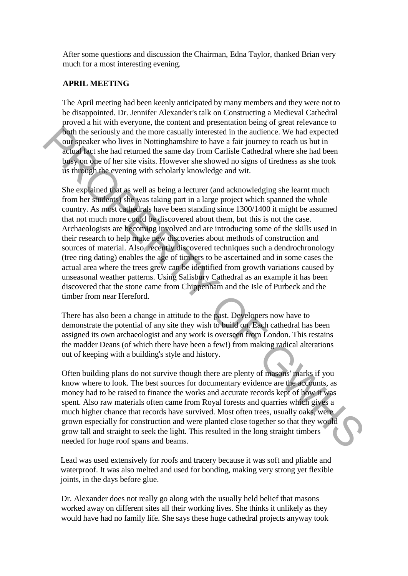After some questions and discussion the Chairman, Edna Taylor, thanked Brian very much for a most interesting evening.

## **APRIL MEETING**

The April meeting had been keenly anticipated by many members and they were not to be disappointed. Dr. Jennifer Alexander's talk on Constructing a Medieval Cathedral proved a hit with everyone, the content and presentation being of great relevance to both the seriously and the more casually interested in the audience. We had expected our speaker who lives in Nottinghamshire to have a fair journey to reach us but in actual fact she had returned the same day from Carlisle Cathedral where she had been busy on one of her site visits. However she showed no signs of tiredness as she took us through the evening with scholarly knowledge and wit.

She explained that as well as being a lecturer (and acknowledging she learnt much from her students) she was taking part in a large project which spanned the whole country. As most cathedrals have been standing since 1300/1400 it might be assumed that not much more could be discovered about them, but this is not the case. Archaeologists are becoming involved and are introducing some of the skills used in their research to help make new discoveries about methods of construction and sources of material. Also, recently discovered techniques such a dendrochronology (tree ring dating) enables the age of timbers to be ascertained and in some cases the actual area where the trees grew can be identified from growth variations caused by unseasonal weather patterns. Using Salisbury Cathedral as an example it has been discovered that the stone came from Chippenham and the Isle of Purbeck and the timber from near Hereford. Four the seriously and the more casually interested in the audience. We had expected whis the more peak in Nottinghamshire to have a fair journey to reach us but in a catual fact when the stane of the stane. However this

There has also been a change in attitude to the past. Developers now have to demonstrate the potential of any site they wish to build on. Each cathedral has been assigned its own archaeologist and any work is overseen from London. This restains the madder Deans (of which there have been a few!) from making radical alterations out of keeping with a building's style and history.

Often building plans do not survive though there are plenty of masons' marks if you know where to look. The best sources for documentary evidence are the accounts, as money had to be raised to finance the works and accurate records kept of how it was spent. Also raw materials often came from Royal forests and quarries which gives a much higher chance that records have survived. Most often trees, usually oaks, were grown especially for construction and were planted close together so that they would grow tall and straight to seek the light. This resulted in the long straight timbers needed for huge roof spans and beams.

Lead was used extensively for roofs and tracery because it was soft and pliable and waterproof. It was also melted and used for bonding, making very strong yet flexible joints, in the days before glue.

Dr. Alexander does not really go along with the usually held belief that masons worked away on different sites all their working lives. She thinks it unlikely as they would have had no family life. She says these huge cathedral projects anyway took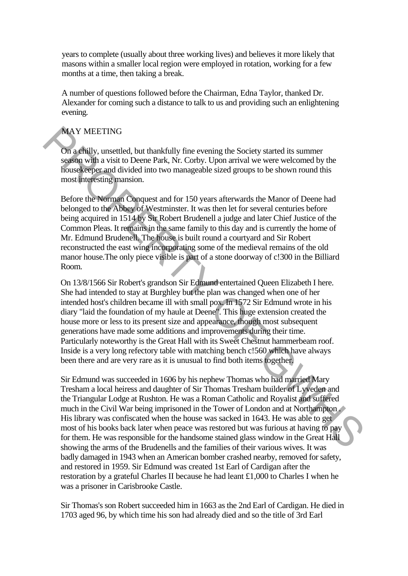years to complete (usually about three working lives) and believes it more likely that masons within a smaller local region were employed in rotation, working for a few months at a time, then taking a break.

A number of questions followed before the Chairman, Edna Taylor, thanked Dr. Alexander for coming such a distance to talk to us and providing such an enlightening evening.

## MAY MEETING

On a chilly, unsettled, but thankfully fine evening the Society started its summer season with a visit to Deene Park, Nr. Corby. Upon arrival we were welcomed by the housekeeper and divided into two manageable sized groups to be shown round this most interesting mansion.

Before the Norman Conquest and for 150 years afterwards the Manor of Deene had belonged to the Abbey of Westminster. It was then let for several centuries before being acquired in 1514 by Sir Robert Brudenell a judge and later Chief Justice of the Common Pleas. It remains in the same family to this day and is currently the home of Mr. Edmund Brudenell. The house is built round a courtyard and Sir Robert reconstructed the east wing incorporating some of the medieval remains of the old manor house.The only piece visible is part of a stone doorway of c!300 in the Billiard Room.

On 13/8/1566 Sir Robert's grandson Sir Edmund entertained Queen Elizabeth I here. She had intended to stay at Burghley but the plan was changed when one of her intended host's children became ill with small pox. In 1572 Sir Edmund wrote in his diary "laid the foundation of my haule at Deene". This huge extension created the house more or less to its present size and appearance, though most subsequent generations have made some additions and improvements during their time. Particularly noteworthy is the Great Hall with its Sweet Chestnut hammerbeam roof. Inside is a very long refectory table with matching bench c!560 which have always been there and are very rare as it is unusual to find both items together. MAY MEETING<br>
On a chilly, unsettled, but thankfully line evening the Society started its summer<br>
system with a visit to Decare Park, Nr. Corby. Upon arrival we were welcomend by the<br>
shows determined and to two manageable

Sir Edmund was succeeded in 1606 by his nephew Thomas who had married Mary Tresham a local heiress and daughter of Sir Thomas Tresham builder of Lyveden and the Triangular Lodge at Rushton. He was a Roman Catholic and Royalist and suffered much in the Civil War being imprisoned in the Tower of London and at Northampton . His library was confiscated when the house was sacked in 1643. He was able to get most of his books back later when peace was restored but was furious at having to pay for them. He was responsible for the handsome stained glass window in the Great Hall showing the arms of the Brudenells and the families of their various wives. It was badly damaged in 1943 when an American bomber crashed nearby, removed for safety, and restored in 1959. Sir Edmund was created 1st Earl of Cardigan after the restoration by a grateful Charles II because he had leant £1,000 to Charles I when he was a prisoner in Carisbrooke Castle.

Sir Thomas's son Robert succeeded him in 1663 as the 2nd Earl of Cardigan. He died in 1703 aged 96, by which time his son had already died and so the title of 3rd Earl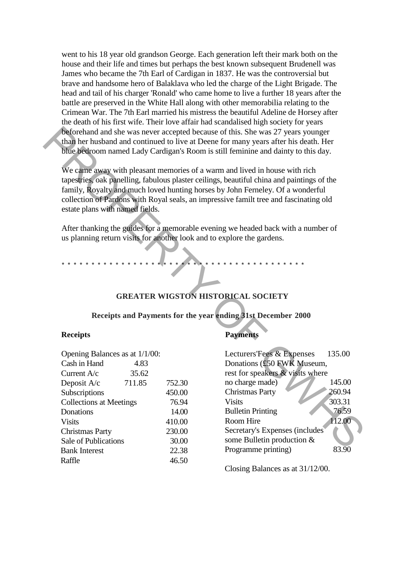went to his 18 year old grandson George. Each generation left their mark both on the house and their life and times but perhaps the best known subsequent Brudenell was James who became the 7th Earl of Cardigan in 1837. He was the controversial but brave and handsome hero of Balaklava who led the charge of the Light Brigade. The head and tail of his charger 'Ronald' who came home to live a further 18 years after the battle are preserved in the White Hall along with other memorabilia relating to the Crimean War. The 7th Earl married his mistress the beautiful Adeline de Horsey after the death of his first wife. Their love affair had scandalised high society for years beforehand and she was never accepted because of this. She was 27 years younger than her husband and continued to live at Deene for many years after his death. Her blue bedroom named Lady Cardigan's Room is still feminine and dainty to this day.

## **GREATER WIGSTON HISTORICAL SOCIETY**

#### **Receipts and Payments for the year ending 31st December 2000**

#### **Receipts**

| Opening Balances as at 1/1/00: |        |        |  |  |
|--------------------------------|--------|--------|--|--|
| Cash in Hand                   | 4.83   |        |  |  |
| Current $A/c$                  | 35.62  |        |  |  |
| Deposit A/c                    | 711.85 | 752.30 |  |  |
| Subscriptions                  |        | 450.00 |  |  |
| <b>Collections at Meetings</b> |        | 76.94  |  |  |
| Donations                      |        | 14.00  |  |  |
| <b>Visits</b>                  |        | 410.00 |  |  |
| <b>Christmas Party</b>         |        | 230.00 |  |  |
| Sale of Publications           |        | 30.00  |  |  |
| <b>Bank Interest</b>           |        | 22.38  |  |  |
| Raffle                         |        | 46.50  |  |  |

## **Payments**

|                                 |                                         |        | beforehand and she was never accepted because of this. She was 27 years younger<br>than her husband and continued to live at Deene for many years after his death. Her<br>blue bedroom named Lady Cardigan's Room is still feminine and dainty to this day.                                                                                                                                                                                                                                                        |        |
|---------------------------------|-----------------------------------------|--------|--------------------------------------------------------------------------------------------------------------------------------------------------------------------------------------------------------------------------------------------------------------------------------------------------------------------------------------------------------------------------------------------------------------------------------------------------------------------------------------------------------------------|--------|
| estate plans with named fields. |                                         |        | We came away with pleasant memories of a warm and lived in house with rich<br>tapestries, oak panelling, fabulous plaster ceilings, beautiful china and paintings of the<br>family, Royalty and much loved hunting horses by John Ferneley. Of a wonderful<br>collection of Pardons with Royal seals, an impressive familt tree and fascinating old<br>After thanking the guides for a memorable evening we headed back with a number of<br>us planning return visits for another look and to explore the gardens. |        |
|                                 |                                         |        |                                                                                                                                                                                                                                                                                                                                                                                                                                                                                                                    |        |
|                                 |                                         |        | <b>GREATER WIGSTON HISTORICAL SOCIETY</b>                                                                                                                                                                                                                                                                                                                                                                                                                                                                          |        |
|                                 |                                         |        | Receipts and Payments for the year ending 31st December 2000                                                                                                                                                                                                                                                                                                                                                                                                                                                       |        |
| <b>Receipts</b>                 |                                         |        | <b>Payments</b>                                                                                                                                                                                                                                                                                                                                                                                                                                                                                                    |        |
| Opening Balances as at 1/1/00:  |                                         |        | Lecturers'Fees & Expenses                                                                                                                                                                                                                                                                                                                                                                                                                                                                                          | 135.00 |
| Cash in Hand                    | 4.83                                    |        | Donations (£50 FWK Museum,                                                                                                                                                                                                                                                                                                                                                                                                                                                                                         |        |
| Current A/c                     | 35.62                                   |        | rest for speakers & visits where                                                                                                                                                                                                                                                                                                                                                                                                                                                                                   |        |
| Deposit A/c                     | 711.85                                  | 752.30 | no charge made)                                                                                                                                                                                                                                                                                                                                                                                                                                                                                                    | 145.00 |
| Subscriptions                   |                                         | 450.00 | <b>Christmas Party</b>                                                                                                                                                                                                                                                                                                                                                                                                                                                                                             | 260.94 |
|                                 | <b>Collections at Meetings</b><br>76.94 |        | <b>Visits</b>                                                                                                                                                                                                                                                                                                                                                                                                                                                                                                      | 303.31 |
| Donations                       |                                         | 14.00  | <b>Bulletin Printing</b>                                                                                                                                                                                                                                                                                                                                                                                                                                                                                           | 76.59  |
| <b>Visits</b>                   |                                         | 410.00 | Room Hire                                                                                                                                                                                                                                                                                                                                                                                                                                                                                                          | 112.00 |
| <b>Christmas Party</b>          |                                         | 230.00 | Secretary's Expenses (includes)                                                                                                                                                                                                                                                                                                                                                                                                                                                                                    |        |
|                                 | Sale of Publications<br>30.00           |        | some Bulletin production &                                                                                                                                                                                                                                                                                                                                                                                                                                                                                         |        |
| <b>Bank Interest</b>            |                                         | 22.38  | Programme printing)                                                                                                                                                                                                                                                                                                                                                                                                                                                                                                | 83.90  |

Closing Balances as at 31/12/00.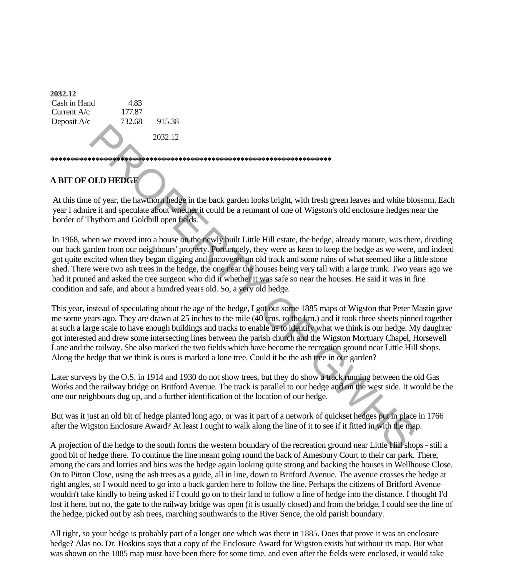| 2032.12       |        |         |  |
|---------------|--------|---------|--|
| Cash in Hand  | 4.83   |         |  |
| Current $A/c$ | 177.87 |         |  |
| Deposit A/c   | 732.68 | 915.38  |  |
|               |        | 2032.12 |  |
|               |        |         |  |
|               |        |         |  |

# **A BIT OF OLD HEDGE**

At this time of year, the hawthorn hedge in the back garden looks bright, with fresh green leaves and white blossom. Each year I admire it and speculate about whether it could be a remnant of one of Wigston's old enclosure hedges near the border of Thythorn and Goldhill open fields.

In 1968, when we moved into a house on the newly built Little Hill estate, the hedge, already mature, was there, dividing our back garden from our neighbours' property. Fortunately, they were as keen to keep the hedge as we were, and indeed got quite excited when they began digging and uncovered an old track and some ruins of what seemed like a little stone shed. There were two ash trees in the hedge, the one near the houses being very tall with a large trunk. Two years ago we had it pruned and asked the tree surgeon who did it whether it was safe so near the houses. He said it was in fine condition and safe, and about a hundred years old. So, a very old hedge.

This year, instead of speculating about the age of the hedge, I got out some 1885 maps of Wigston that Peter Mastin gave me some years ago. They are drawn at 25 inches to the mile (40 cms. to the km.) and it took three sheets pinned together at such a large scale to have enough buildings and tracks to enable us to identify what we think is our hedge. My daughter got interested and drew some intersecting lines between the parish church and the Wigston Mortuary Chapel, Horsewell Lane and the railway. She also marked the two fields which have become the recreation ground near Little Hill shops. Along the hedge that we think is ours is marked a lone tree. Could it be the ash tree in our garden? 2032.12<br>
2032.12<br>
2032.12<br>
2032.12<br>
2032.12<br>
2010 **HEDGE**<br>
2010 **HEDGE**<br>
2010 **HEDGE**<br>
2010 **HEDGE**<br>
2010 **HEDGE**<br>
2010 **HEDGE**<br>
2010 **HEDGE**<br>
2010 **DHEROPE ASSES INTERNATION CONTINUES TO THE COUNTABLY THE USE ON THE USE O** 

Later surveys by the O.S. in 1914 and 1930 do not show trees, but they do show a track running between the old Gas Works and the railway bridge on Britford Avenue. The track is parallel to our hedge and on the west side. It would be the one our neighbours dug up, and a further identification of the location of our hedge.

But was it just an old bit of hedge planted long ago, or was it part of a network of quickset hedges put in place in 1766 after the Wigston Enclosure Award? At least I ought to walk along the line of it to see if it fitted in with the map.

A projection of the hedge to the south forms the western boundary of the recreation ground near Little Hill shops - still a good bit of hedge there. To continue the line meant going round the back of Amesbury Court to their car park. There, among the cars and lorries and bins was the hedge again looking quite strong and backing the houses in Wellhouse Close. On to Pitton Close, using the ash trees as a guide, all in line, down to Britford Avenue. The avenue crosses the hedge at right angles, so I would need to go into a back garden here to follow the line. Perhaps the citizens of Britford Avenue wouldn't take kindly to being asked if I could go on to their land to follow a line of hedge into the distance. I thought I'd lost it here, but no, the gate to the railway bridge was open (it is usually closed) and from the bridge, I could see the line of the hedge, picked out by ash trees, marching southwards to the River Sence, the old parish boundary.

All right, so your hedge is probably part of a longer one which was there in 1885. Does that prove it was an enclosure hedge? Alas no. Dr. Hoskins says that a copy of the Enclosure Award for Wigston exists but without its map. But what was shown on the 1885 map must have been there for some time, and even after the fields were enclosed, it would take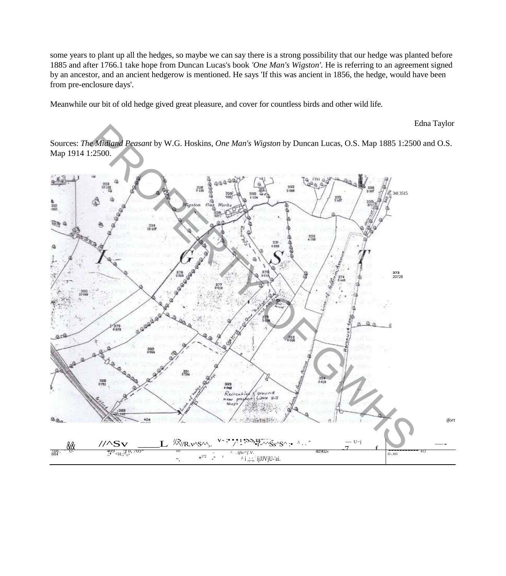some years to plant up all the hedges, so maybe we can say there is a strong possibility that our hedge was planted before 1885 and after 1766.1 take hope from Duncan Lucas's book *'One Man's Wigston'.* He is referring to an agreement signed by an ancestor, and an ancient hedgerow is mentioned. He says 'If this was ancient in 1856, the hedge, would have been from pre-enclosure days'.

Meanwhile our bit of old hedge gived great pleasure, and cover for countless birds and other wild life.

#### Edna Taylor

Sources: *The Midland Peasant* by W.G. Hoskins, *One Man's Wigston* by Duncan Lucas, O.S. Map 1885 1:2500 and O.S. Map 1914 1:2500.

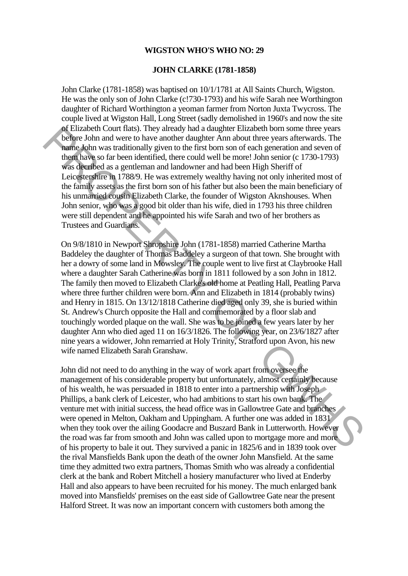#### **WIGSTON WHO'S WHO NO: 29**

#### **JOHN CLARKE (1781-1858)**

John Clarke (1781-1858) was baptised on 10/1/1781 at All Saints Church, Wigston. He was the only son of John Clarke (c!730-1793) and his wife Sarah nee Worthington daughter of Richard Worthington a yeoman farmer from Norton Juxta Twycross. The couple lived at Wigston Hall, Long Street (sadly demolished in 1960's and now the site of Elizabeth Court flats). They already had a daughter Elizabeth born some three years before John and were to have another daughter Ann about three years afterwards. The name John was traditionally given to the first born son of each generation and seven of them have so far been identified, there could well be more! John senior (c 1730-1793) was decribed as a gentleman and landowner and had been High Sheriff of Leicestershire in 1788/9. He was extremely wealthy having not only inherited most of the family assets as the first born son of his father but also been the main beneficiary of his unmarried cousin Elizabeth Clarke, the founder of Wigston Aknshouses. When John senior, who was a good bit older than his wife, died in 1793 his three children were still dependent and he appointed his wife Sarah and two of her brothers as Trustees and Guardians.

On 9/8/1810 in Newport Shropshire John (1781-1858) married Catherine Martha Baddeley the daughter of Thomas Baddeley a surgeon of that town. She brought with her a dowry of some land in Mowsley. The couple went to live first at Claybrooke Hall where a daughter Sarah Catherine was born in 1811 followed by a son John in 1812. The family then moved to Elizabeth Clarke's old home at Peatling Hall, Peatling Parva where three further children were born. Ann and Elizabeth in 1814 (probably twins) and Henry in 1815. On 13/12/1818 Catherine died aged only 39, she is buried within St. Andrew's Church opposite the Hall and commemorated by a floor slab and touchingly worded plaque on the wall. She was to be joined a few years later by her daughter Ann who died aged 11 on 16/3/1826. The following year, on 23/6/1827 after nine years a widower, John remarried at Holy Trinity, Stratford upon Avon, his new wife named Elizabeth Sarah Granshaw. of Elizabeth Count Italia). They already had a daugher Elizabeth form some three gears<br>
whether John and were to have another duaghter Ann about three years afterwards. The<br>
hand-olon was traditionally given to the first b

John did not need to do anything in the way of work apart from oversee the management of his considerable property but unfortunately, almost certainly because of his wealth, he was persuaded in 1818 to enter into a partnership with Joseph Phillips, a bank clerk of Leicester, who had ambitions to start his own bank. The venture met with initial success, the head office was in Gallowtree Gate and branches were opened in Melton, Oakham and Uppingham. A further one was added in 1831 when they took over the ailing Goodacre and Buszard Bank in Lutterworth. However the road was far from smooth and John was called upon to mortgage more and more of his property to bale it out. They survived a panic in 1825/6 and in 1839 took over the rival Mansfields Bank upon the death of the owner John Mansfield. At the same time they admitted two extra partners, Thomas Smith who was already a confidential clerk at the bank and Robert Mitchell a hosiery manufacturer who lived at Enderby Hall and also appears to have been recruited for his money. The much enlarged bank moved into Mansfields' premises on the east side of Gallowtree Gate near the present Halford Street. It was now an important concern with customers both among the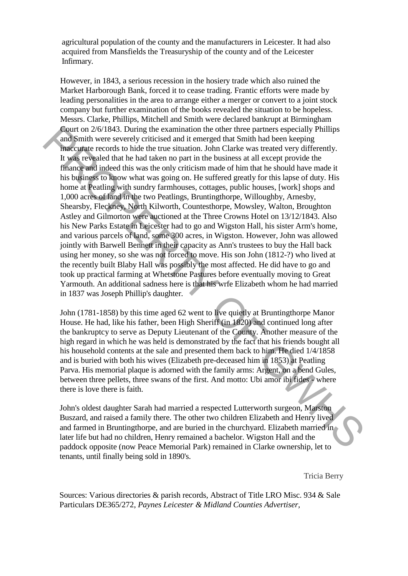agricultural population of the county and the manufacturers in Leicester. It had also acquired from Mansfields the Treasuryship of the county and of the Leicester Infirmary.

However, in 1843, a serious recession in the hosiery trade which also ruined the Market Harborough Bank, forced it to cease trading. Frantic efforts were made by leading personalities in the area to arrange either a merger or convert to a joint stock company but further examination of the books revealed the situation to be hopeless. Messrs. Clarke, Phillips, Mitchell and Smith were declared bankrupt at Birmingham Court on 2/6/1843. During the examination the other three partners especially Phillips and Smith were severely criticised and it emerged that Smith had been keeping inaccurate records to hide the true situation. John Clarke was treated very differently. It was revealed that he had taken no part in the business at all except provide the finance and indeed this was the only criticism made of him that he should have made it his business to know what was going on. He suffered greatly for this lapse of duty. His home at Peatling with sundry farmhouses, cottages, public houses, [work] shops and 1,000 acres of land in the two Peatlings, Bruntingthorpe, Willoughby, Arnesby, Shearsby, Fleckney, North Kilworth, Countesthorpe, Mowsley, Walton, Broughton Astley and Gilmorton were auctioned at the Three Crowns Hotel on 13/12/1843. Also his New Parks Estate in Leicester had to go and Wigston Hall, his sister Arm's home, and various parcels of land, some 300 acres, in Wigston. However, John was allowed jointly with Barwell Bennett in their capacity as Ann's trustees to buy the Hall back using her money, so she was not forced to move. His son John (1812-?) who lived at the recently built Blaby Hall was possibly the most affected. He did have to go and took up practical farming at Whetstone Pastures before eventually moving to Great Yarmouth. An additional sadness here is that his wrfe Elizabeth whom he had married in 1837 was Joseph Phillip's daughter. **Control 2** Coll 433. During the examinaton the other three purtures especially Phillips<br>and Smith were severely criticised and it energed that Smith had been keeping<br>mad Smith were severely critices and it energed that S

John (1781-1858) by this time aged 62 went to live quietly at Bruntingthorpe Manor House. He had, like his father, been High Sheriff (in 1820) and continued long after the bankruptcy to serve as Deputy Lieutenant of the County. Another measure of the high regard in which he was held is demonstrated by the fact that his friends bought all his household contents at the sale and presented them back to him. He died 1/4/1858 and is buried with both his wives (Elizabeth pre-deceased him in 1853) at Peatling Parva. His memorial plaque is adorned with the family arms: Argent, on a bend Gules, between three pellets, three swans of the first. And motto: Ubi amor ibi fides - where there is love there is faith.

John's oldest daughter Sarah had married a respected Lutterworth surgeon, Marston Buszard, and raised a family there. The other two children Elizabeth and Henry lived and farmed in Bruntingthorpe, and are buried in the churchyard. Elizabeth married in later life but had no children, Henry remained a bachelor. Wigston Hall and the paddock opposite (now Peace Memorial Park) remained in Clarke ownership, let to tenants, until finally being sold in 1890's.

Tricia Berry

Sources: Various directories & parish records, Abstract of Title LRO Misc. 934 & Sale Particulars DE365/272, *Paynes Leicester & Midland Counties Advertiser,*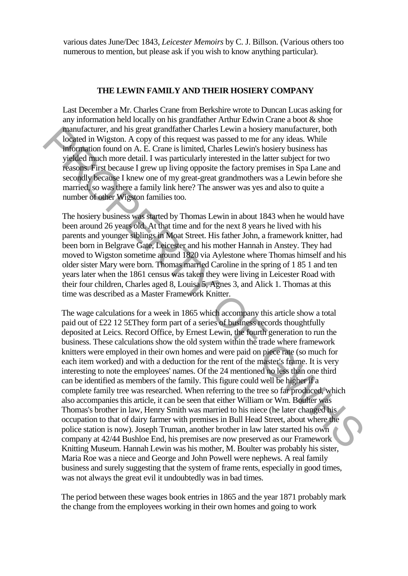various dates June/Dec 1843, *Leicester Memoirs* by C. J. Billson. (Various others too numerous to mention, but please ask if you wish to know anything particular).

#### **THE LEWIN FAMILY AND THEIR HOSIERY COMPANY**

Last December a Mr. Charles Crane from Berkshire wrote to Duncan Lucas asking for any information held locally on his grandfather Arthur Edwin Crane a boot & shoe manufacturer, and his great grandfather Charles Lewin a hosiery manufacturer, both located in Wigston. A copy of this request was passed to me for any ideas. While information found on A. E. Crane is limited, Charles Lewin's hosiery business has yielded much more detail. I was particularly interested in the latter subject for two reasons. First because I grew up living opposite the factory premises in Spa Lane and secondly because I knew one of my great-great grandmothers was a Lewin before she married, so was there a family link here? The answer was yes and also to quite a number of other Wigston families too.

The hosiery business was started by Thomas Lewin in about 1843 when he would have been around 26 years old. At that time and for the next 8 years he lived with his parents and younger siblings in Moat Street. His father John, a framework knitter, had been born in Belgrave Gate, Leicester and his mother Hannah in Anstey. They had moved to Wigston sometime around 1820 via Aylestone where Thomas himself and his older sister Mary were born. Thomas married Caroline in the spring of 1 85 1 and ten years later when the 1861 census was taken they were living in Leicester Road with their four children, Charles aged 8, Louisa 5, Agnes 3, and Alick 1. Thomas at this time was described as a Master Framework Knitter.

The wage calculations for a week in 1865 which accompany this article show a total paid out of £22 12 5£They form part of a series of business records thoughtfully deposited at Leics. Record Office, by Ernest Lewin, the fourth generation to run the business. These calculations show the old system within the trade where framework knitters were employed in their own homes and were paid on piece rate (so much for each item worked) and with a deduction for the rent of the master's frame. It is very interesting to note the employees' names. Of the 24 mentioned no less than one third can be identified as members of the family. This figure could well be higher if a complete family tree was researched. When referring to the tree so far produced, which also accompanies this article, it can be seen that either William or Wm. Boulter was Thomas's brother in law, Henry Smith was married to his niece (he later changed his occupation to that of dairy farmer with premises in Bull Head Street, about where the police station is now). Joseph Truman, another brother in law later started his own company at 42/44 Bushloe End, his premises are now preserved as our Framework Knitting Museum. Hannah Lewin was his mother, M. Boulter was probably his sister, Maria Roe was a niece and George and John Powell were nephews. A real family business and surely suggesting that the system of frame rents, especially in good times, was not always the great evil it undoubtedly was in bad times. mould acture, and this great grantfathcric Charles Lewin a hosiery manifestence, both comparison of the system of the system of the system of the system of the system of the system of the system of the present of the pres

The period between these wages book entries in 1865 and the year 1871 probably mark the change from the employees working in their own homes and going to work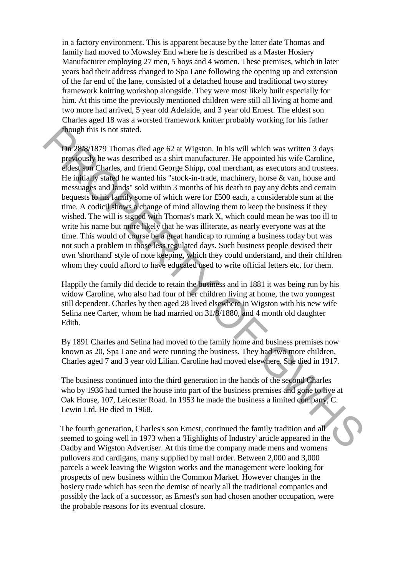in a factory environment. This is apparent because by the latter date Thomas and family had moved to Mowsley End where he is described as a Master Hosiery Manufacturer employing 27 men, 5 boys and 4 women. These premises, which in later years had their address changed to Spa Lane following the opening up and extension of the far end of the lane, consisted of a detached house and traditional two storey framework knitting workshop alongside. They were most likely built especially for him. At this time the previously mentioned children were still all living at home and two more had arrived, 5 year old Adelaide, and 3 year old Ernest. The eldest son Charles aged 18 was a worsted framework knitter probably working for his father though this is not stated.

On 28/8/1879 Thomas died age 62 at Wigston. In his will which was written 3 days previously he was described as a shirt manufacturer. He appointed his wife Caroline, eldest son Charles, and friend George Shipp, coal merchant, as executors and trustees. He initially stated he wanted his "stock-in-trade, machinery, horse & van, house and messuages and lands" sold within 3 months of his death to pay any debts and certain bequests to his family some of which were for £500 each, a considerable sum at the time. A codicil shows a change of mind allowing them to keep the business if they wished. The will is signed with Thomas's mark X, which could mean he was too ill to write his name but more likely that he was illiterate, as nearly everyone was at the time. This would of course be a great handicap to running a business today but was not such a problem in those less regulated days. Such business people devised their own 'shorthand' style of note keeping, which they could understand, and their children whom they could afford to have educated used to write official letters etc. for them. though this is not stated.<br> **On** 288/k 1879 them stated age 62 at Wigston, In his will which was written 3 days<br>
probables, we can described as a shirt manufacturer. He appointed his wife Caroline,<br>
probables, the was desc

Happily the family did decide to retain the business and in 1881 it was being run by his widow Caroline, who also had four of her children living at home, the two youngest still dependent. Charles by then aged 28 lived elsewhere in Wigston with his new wife Selina nee Carter, whom he had married on 31/8/1880, and 4 month old daughter Edith.

By 1891 Charles and Selina had moved to the family home and business premises now known as 20, Spa Lane and were running the business. They had two more children, Charles aged 7 and 3 year old Lilian. Caroline had moved elsewhere. She died in 1917.

The business continued into the third generation in the hands of the second Charles who by 1936 had turned the house into part of the business premises and gone to live at Oak House, 107, Leicester Road. In 1953 he made the business a limited company, C. Lewin Ltd. He died in 1968.

The fourth generation, Charles's son Ernest, continued the family tradition and all seemed to going well in 1973 when a 'Highlights of Industry' article appeared in the Oadby and Wigston Advertiser. At this time the company made mens and womens pullovers and cardigans, many supplied by mail order. Between 2,000 and 3,000 parcels a week leaving the Wigston works and the management were looking for prospects of new business within the Common Market. However changes in the hosiery trade which has seen the demise of nearly all the traditional companies and possibly the lack of a successor, as Ernest's son had chosen another occupation, were the probable reasons for its eventual closure.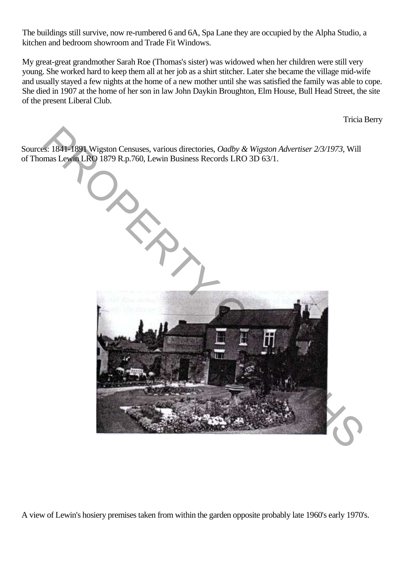The buildings still survive, now re-rumbered 6 and 6A, Spa Lane they are occupied by the Alpha Studio, a kitchen and bedroom showroom and Trade Fit Windows.

My great-great grandmother Sarah Roe (Thomas's sister) was widowed when her children were still very young. She worked hard to keep them all at her job as a shirt stitcher. Later she became the village mid-wife and usually stayed a few nights at the home of a new mother until she was satisfied the family was able to cope. She died in 1907 at the home of her son in law John Daykin Broughton, Elm House, Bull Head Street, the site of the present Liberal Club.

Tricia Berry

Sources: 1841-1891 Wigston Censuses, various directories, *Oadby & Wigston Advertiser 2/3/1973,* Will of Thomas Lewin LRO 1879 R.p.760, Lewin Business Records LRO 3D 63/1.



A view of Lewin's hosiery premises taken from within the garden opposite probably late 1960's early 1970's.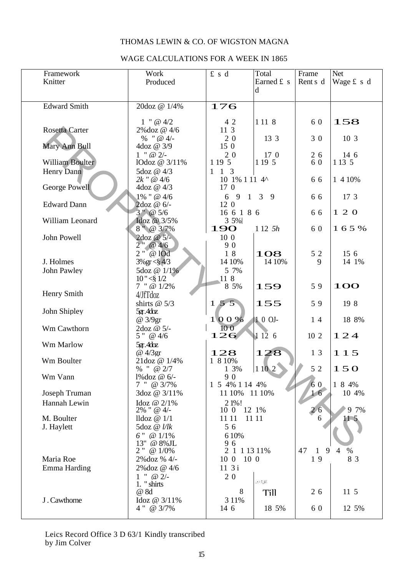## THOMAS LEWIN & CO. OF WIGSTON MAGNA

## WAGE CALCULATIONS FOR A WEEK IN 1865

| Framework             | Work                        | £ s d                 | Total       | Frame        | <b>Net</b>             |
|-----------------------|-----------------------------|-----------------------|-------------|--------------|------------------------|
| Knitter               | Produced                    |                       | Earned £ s  | Rent s d     | Wage £ s d             |
|                       |                             |                       | d           |              |                        |
|                       |                             |                       |             |              |                        |
| <b>Edward Smith</b>   | 20doz @ 1/4%                | 176                   |             |              |                        |
|                       |                             |                       |             |              |                        |
|                       | $1$ " @ $4/2$               | 4 2                   | 1 1 1 8     | 6 0          | 158                    |
| <b>Rosetta Carter</b> | 2%doz @ 4/6                 | 11 3                  |             |              |                        |
|                       | $%''$ @ 4/-                 | 20                    | 13 3        | 3 0          | 10 3                   |
| Mary Ann Bull         | 4doz @ 3/9                  | 150                   |             |              |                        |
|                       | $1$ " @ $2/-$               | 20                    | 17 0        | 2 6          | 14 6                   |
| William Boulter       | lOdoz @ 3/11%               | 1 19 5                | 1 19 5      | 6 0          | 1 1 3 5                |
| Henry Dann            | 5doz @ 4/3                  | 1 3<br>$\mathbf{1}$   |             |              |                        |
|                       | $2k$ " @ $4/6$              | 10 1% 1 11 4^         |             | 66           | 1 4 10%                |
| George Powell         | 4doz @ 4/3                  | 17 0                  |             |              |                        |
|                       | $1\%$ " @ $4/6$             | 6913                  | - 9         | 66           | 17 3                   |
| <b>Edward Dann</b>    | 2doz @ 6/-<br>$3''$ @ $5/6$ | 12 0<br>16 6 1 8 6    |             | 66           | 120                    |
| William Leonard       | Idoz @ 3/5%                 | 3 5%                  |             |              |                        |
|                       | $8''$ @ 3/7%                | <b>190</b>            | $112 \t 5h$ | 6 0          | 165%                   |
| John Powell           | $2$ doz @ $5/-$             | 10 0                  |             |              |                        |
|                       | $2''$ @ 4/6                 | 90                    |             |              |                        |
|                       | $2''$ @ $10d$               | 18                    | 108         | 5 2          | 156                    |
| J. Holmes             | $3\%$ gr $\lt$ § 4/3        | 14 10%                | 14 10%      | 9            | 14 1%                  |
| John Pawley           | 5doz @ 1/1%                 | 5 7%                  |             |              |                        |
|                       | 10'' < \$1/2                | 11 8                  |             |              |                        |
|                       | $7$ " @ $1/2\%$             | 8 5%                  | 159         | 59           | <b>100</b>             |
| Henry Smith           | 4/JfTdoz                    |                       |             |              |                        |
|                       | shirts $@5/3$               | 155                   | 155         | 59           | 19 8                   |
| John Shipley          | $5gr$ . $4dz$               |                       |             |              |                        |
|                       | @ 3/9gr                     | 100%                  | 10 OJ-      | 14           | 18 8%                  |
| Wm Cawthorn           | 2doz @ 5/-                  | 100                   |             |              |                        |
|                       | 5" @ 4/6                    | 126                   | 1126        | 10 2         | 124                    |
| Wm Marlow             | $5gr$ . $4dz$               |                       |             |              |                        |
|                       | @ 4/3gr                     | 128                   | 128         | 1 3          | 115                    |
| Wm Boulter            | 21doz @ 1/4%                | 1 8 10%               |             |              |                        |
|                       | % " @ $2/7$                 | 1 3%                  | 1 10 2      | 5 2          | 150                    |
| Wm Vann               | 1% doz @ 6/-<br>7 " @ 3/7%  | 90<br>1 5 4% 1 14 4%  |             | 6 0          | 1 8 4%                 |
| Joseph Truman         | 3doz @ 3/11%                | 11 10%                | 11 10%      | 16           | 10 4%                  |
| Hannah Lewin          | Idoz @ 2/1%                 | 2 1%!                 |             |              |                        |
|                       | $2\%$ " @ 4/-               | 12 1%<br>10 0         |             | 26           | 9 7%                   |
| M. Boulter            | lldoz $@1/1$                | 11 11                 | 11 11       | 6            | 11 5                   |
| J. Haylett            | 5doz @ <i>l/lk</i>          | 56                    |             |              |                        |
|                       | $6$ " $\omega$ 1/1%         | 6 10%                 |             |              |                        |
|                       | 13" @ 8%JL                  | 96                    |             |              |                        |
|                       | $2$ " @ $1/0\%$             | 2 1 1 1 3 1 1 %       |             | 47<br>9<br>1 | $\%$<br>$\overline{4}$ |
| Maria Roe             | 2% doz % 4/-                | $10\text{ }0$<br>10 0 |             | 19           | 8 3                    |
| Emma Harding          | 2%doz @ 4/6                 | 113i                  |             |              |                        |
|                       | $1$ " @ $2/-$               | 20                    |             |              |                        |
|                       | 1. " shirts                 |                       |             |              |                        |
|                       | @ 8d                        | 8                     | <b>Till</b> | 2 6          | 11 5                   |
| J. Cawthorne          | Idoz @ 3/11%                | 3 1 1%                |             |              |                        |
|                       | 4 " @ 3/7%                  | 14 6                  | 18 5%       | 6 0          | 12 5%                  |

Leics Record Office 3 D 63/1 Kindly transcribed by Jim Colver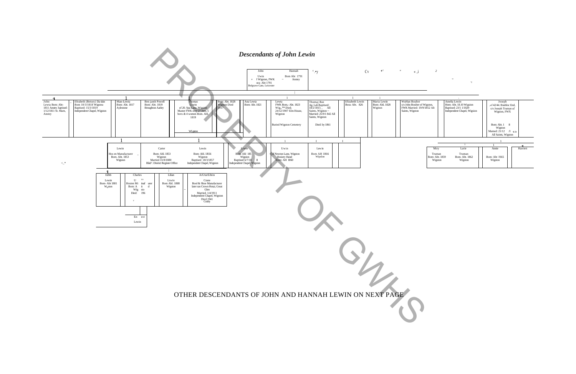